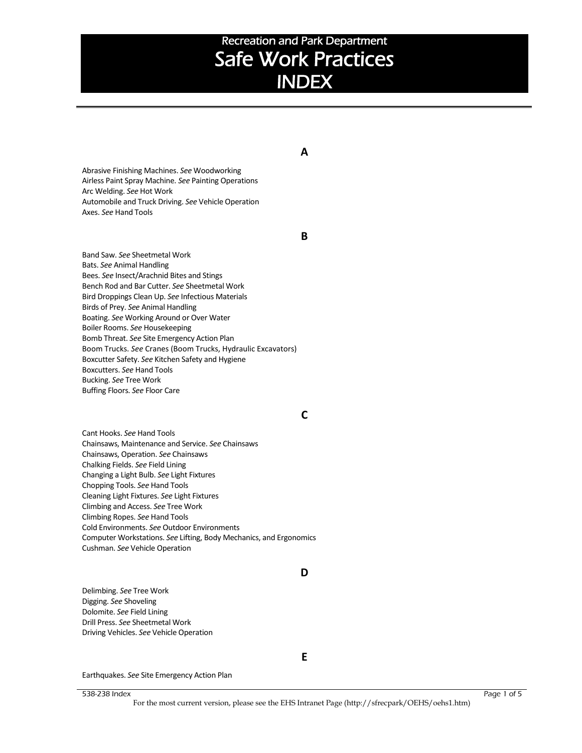## **A**

Abrasive Finishing Machines. *See* Woodworking Airless Paint Spray Machine. *See* Painting Operations Arc Welding. *See* Hot Work Automobile and Truck Driving. *See* Vehicle Operation Axes. *See* Hand Tools

#### **B**

Band Saw. *See* Sheetmetal Work Bats. *See* Animal Handling Bees. *See* Insect/Arachnid Bites and Stings Bench Rod and Bar Cutter. *See* Sheetmetal Work Bird Droppings Clean Up. *See* Infectious Materials Birds of Prey. *See* Animal Handling Boating. *See* Working Around or Over Water Boiler Rooms. *See* Housekeeping Bomb Threat. *See* Site Emergency Action Plan Boom Trucks. *See* Cranes (Boom Trucks, Hydraulic Excavators) Boxcutter Safety. *See* Kitchen Safety and Hygiene Boxcutters. *See* Hand Tools Bucking. *See* Tree Work Buffing Floors. *See* Floor Care

### **C**

Cant Hooks. *See* Hand Tools Chainsaws, Maintenance and Service. *See* Chainsaws Chainsaws, Operation. *See* Chainsaws Chalking Fields. *See* Field Lining Changing a Light Bulb. *See* Light Fixtures Chopping Tools. *See* Hand Tools Cleaning Light Fixtures. *See* Light Fixtures Climbing and Access. *See* Tree Work Climbing Ropes. *See* Hand Tools Cold Environments. *See* Outdoor Environments Computer Workstations. *See* Lifting, Body Mechanics, and Ergonomics Cushman. *See* Vehicle Operation

## **D**

Delimbing. *See* Tree Work Digging. *See* Shoveling Dolomite. *See* Field Lining Drill Press. *See* Sheetmetal Work Driving Vehicles. *See* Vehicle Operation

**E**

Earthquakes. *See* Site Emergency Action Plan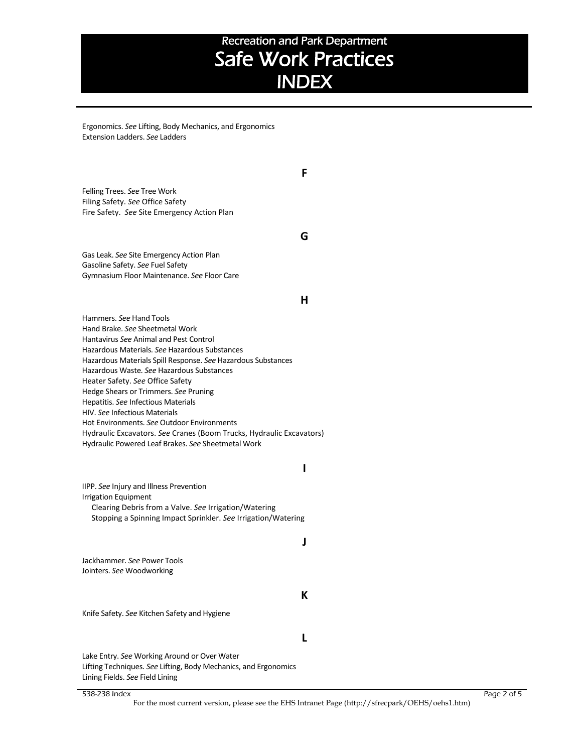Ergonomics. *See* Lifting, Body Mechanics, and Ergonomics Extension Ladders. *See* Ladders

Felling Trees. *See* Tree Work Filing Safety. *See* Office Safety Fire Safety. *See* Site Emergency Action Plan

**G**

**F**

Gas Leak. *See* Site Emergency Action Plan Gasoline Safety. *See* Fuel Safety Gymnasium Floor Maintenance. *See* Floor Care

#### **H**

Hammers. *See* Hand Tools Hand Brake. *See* Sheetmetal Work Hantavirus *See* Animal and Pest Control Hazardous Materials. *See* Hazardous Substances Hazardous Materials Spill Response. *See* Hazardous Substances Hazardous Waste. *See* Hazardous Substances Heater Safety. *See* Office Safety Hedge Shears or Trimmers. *See* Pruning Hepatitis. *See* Infectious Materials HIV. *See* Infectious Materials Hot Environments. *See* Outdoor Environments Hydraulic Excavators. *See* Cranes (Boom Trucks, Hydraulic Excavators) Hydraulic Powered Leaf Brakes. *See* Sheetmetal Work

#### **I**

IIPP. *See* Injury and Illness Prevention Irrigation Equipment Clearing Debris from a Valve. *See* Irrigation/Watering Stopping a Spinning Impact Sprinkler. *See* Irrigation/Watering

#### **J**

Jackhammer. *See* Power Tools Jointers. *See* Woodworking

#### **K**

Knife Safety. *See* Kitchen Safety and Hygiene

#### **L**

Lake Entry. *See* Working Around or Over Water Lifting Techniques. *See* Lifting, Body Mechanics, and Ergonomics Lining Fields. *See* Field Lining

#### 538-238 Index Page 2 of 5

For the most current version, please see the EHS Intranet Page (http://sfrecpark/OEHS/oehs1.htm)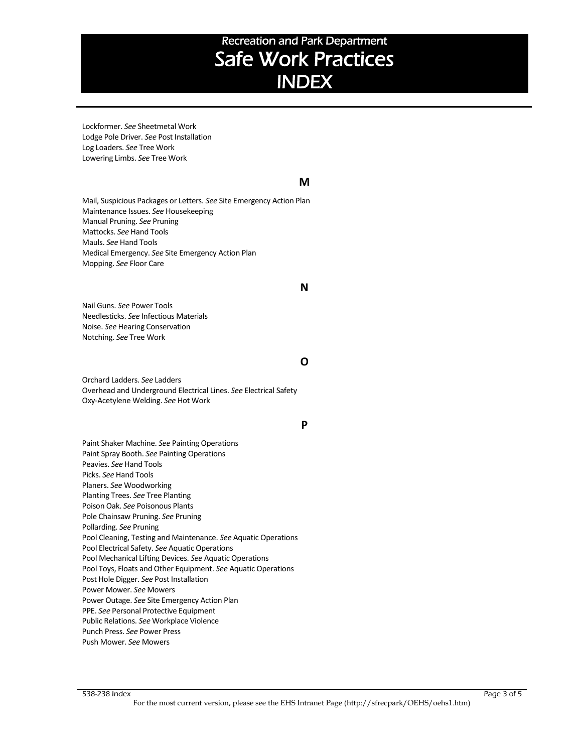Lockformer. *See* Sheetmetal Work Lodge Pole Driver. *See* Post Installation Log Loaders. *See* Tree Work Lowering Limbs. *See* Tree Work

## **M**

Mail, Suspicious Packages or Letters. *See* Site Emergency Action Plan Maintenance Issues. *See* Housekeeping Manual Pruning. *See* Pruning Mattocks. *See* Hand Tools Mauls. *See* Hand Tools Medical Emergency. *See* Site Emergency Action Plan Mopping. *See* Floor Care

#### **N**

Nail Guns. *See* Power Tools Needlesticks. *See* Infectious Materials Noise. *See* Hearing Conservation Notching. *See* Tree Work

## **O**

Orchard Ladders. *See* Ladders Overhead and Underground Electrical Lines. *See* Electrical Safety Oxy-Acetylene Welding. *See* Hot Work

### **P**

Paint Shaker Machine. *See* Painting Operations Paint Spray Booth. *See* Painting Operations Peavies. *See* Hand Tools Picks. *See* Hand Tools Planers. *See* Woodworking Planting Trees. *See* Tree Planting Poison Oak. *See* Poisonous Plants Pole Chainsaw Pruning. *See* Pruning Pollarding. *See* Pruning Pool Cleaning, Testing and Maintenance. *See* Aquatic Operations Pool Electrical Safety. *See* Aquatic Operations Pool Mechanical Lifting Devices. *See* Aquatic Operations Pool Toys, Floats and Other Equipment. *See* Aquatic Operations Post Hole Digger. *See* Post Installation Power Mower. *See* Mowers Power Outage. *See* Site Emergency Action Plan PPE. *See* Personal Protective Equipment Public Relations. *See* Workplace Violence Punch Press. *See* Power Press Push Mower. *See* Mowers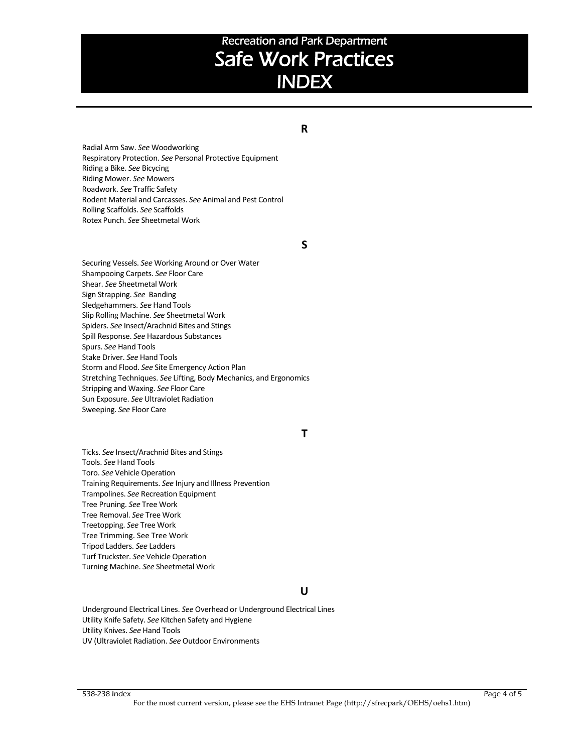## **R**

Radial Arm Saw. *See* Woodworking Respiratory Protection. *See* Personal Protective Equipment Riding a Bike. *See* Bicycing Riding Mower. *See* Mowers Roadwork. *See* Traffic Safety Rodent Material and Carcasses. *See* Animal and Pest Control Rolling Scaffolds. *See* Scaffolds Rotex Punch. *See* Sheetmetal Work

### **S**

Securing Vessels. *See* Working Around or Over Water Shampooing Carpets. *See* Floor Care Shear. *See* Sheetmetal Work Sign Strapping. *See* Banding Sledgehammers. *See* Hand Tools Slip Rolling Machine. *See* Sheetmetal Work Spiders. *See* Insect/Arachnid Bites and Stings Spill Response. *See* Hazardous Substances Spurs. *See* Hand Tools Stake Driver. *See* Hand Tools Storm and Flood. *See* Site Emergency Action Plan Stretching Techniques. *See* Lifting, Body Mechanics, and Ergonomics Stripping and Waxing. *See* Floor Care Sun Exposure. *See* Ultraviolet Radiation Sweeping. *See* Floor Care

### **T**

Ticks. *See* Insect/Arachnid Bites and Stings Tools. *See* Hand Tools Toro. *See* Vehicle Operation Training Requirements. *See* Injury and Illness Prevention Trampolines. *See* Recreation Equipment Tree Pruning. *See* Tree Work Tree Removal. *See* Tree Work Treetopping. *See* Tree Work Tree Trimming. See Tree Work Tripod Ladders. *See* Ladders Turf Truckster. *See* Vehicle Operation Turning Machine. *See* Sheetmetal Work

#### **U**

Underground Electrical Lines. *See* Overhead or Underground Electrical Lines Utility Knife Safety. *See* Kitchen Safety and Hygiene Utility Knives. *See* Hand Tools UV (Ultraviolet Radiation. *See* Outdoor Environments

#### 538-238 Index Page 4 of 5